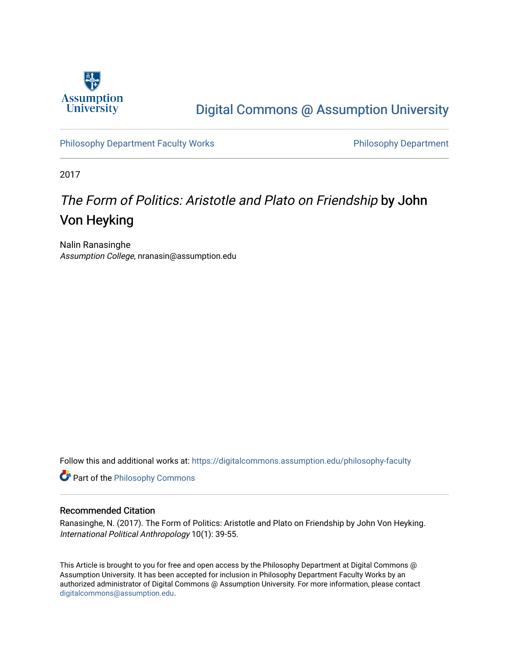

# [Digital Commons @ Assumption University](https://digitalcommons.assumption.edu/)

[Philosophy Department Faculty Works](https://digitalcommons.assumption.edu/philosophy-faculty) **Philosophy Department** 

2017

# The Form of Politics: Aristotle and Plato on Friendship by John Von Heyking

Nalin Ranasinghe Assumption College, nranasin@assumption.edu

Follow this and additional works at: [https://digitalcommons.assumption.edu/philosophy-faculty](https://digitalcommons.assumption.edu/philosophy-faculty?utm_source=digitalcommons.assumption.edu%2Fphilosophy-faculty%2F1&utm_medium=PDF&utm_campaign=PDFCoverPages) 

**Part of the Philosophy Commons** 

#### Recommended Citation

Ranasinghe, N. (2017). The Form of Politics: Aristotle and Plato on Friendship by John Von Heyking. International Political Anthropology 10(1): 39-55.

This Article is brought to you for free and open access by the Philosophy Department at Digital Commons @ Assumption University. It has been accepted for inclusion in Philosophy Department Faculty Works by an authorized administrator of Digital Commons @ Assumption University. For more information, please contact [digitalcommons@assumption.edu](mailto:digitalcommons@assumption.edu).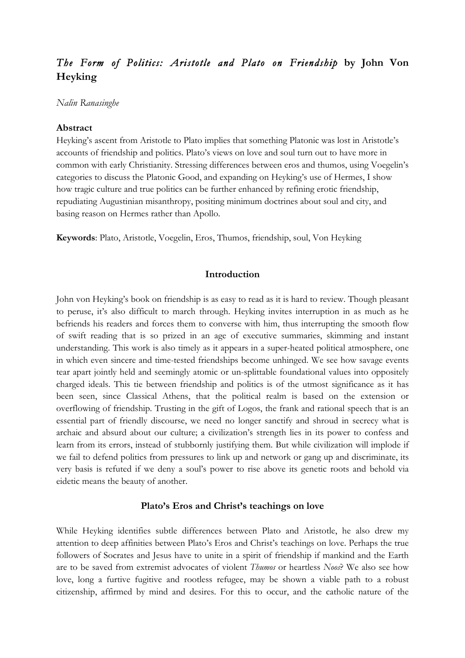# *The Form of Politics: Aristotle and Plato on Friendship* **by John Von Heyking**

# *Nalin Ranasinghe*

# **Abstract**

Heyking's ascent from Aristotle to Plato implies that something Platonic was lost in Aristotle's accounts of friendship and politics. Plato's views on love and soul turn out to have more in common with early Christianity. Stressing differences between eros and thumos, using Voegelin's categories to discuss the Platonic Good, and expanding on Heyking's use of Hermes, I show how tragic culture and true politics can be further enhanced by refining erotic friendship, repudiating Augustinian misanthropy, positing minimum doctrines about soul and city, and basing reason on Hermes rather than Apollo.

**Keywords**: Plato, Aristotle, Voegelin, Eros, Thumos, friendship, soul, Von Heyking

# **Introduction**

John von Heyking's book on friendship is as easy to read as it is hard to review. Though pleasant to peruse, it's also difficult to march through. Heyking invites interruption in as much as he befriends his readers and forces them to converse with him, thus interrupting the smooth flow of swift reading that is so prized in an age of executive summaries, skimming and instant understanding. This work is also timely as it appears in a super-heated political atmosphere, one in which even sincere and time-tested friendships become unhinged. We see how savage events tear apart jointly held and seemingly atomic or un-splittable foundational values into oppositely charged ideals. This tie between friendship and politics is of the utmost significance as it has been seen, since Classical Athens, that the political realm is based on the extension or overflowing of friendship. Trusting in the gift of Logos, the frank and rational speech that is an essential part of friendly discourse, we need no longer sanctify and shroud in secrecy what is archaic and absurd about our culture; a civilization's strength lies in its power to confess and learn from its errors, instead of stubbornly justifying them. But while civilization will implode if we fail to defend politics from pressures to link up and network or gang up and discriminate, its very basis is refuted if we deny a soul's power to rise above its genetic roots and behold via eidetic means the beauty of another.

### **Plato's Eros and Christ's teachings on love**

While Heyking identifies subtle differences between Plato and Aristotle, he also drew my attention to deep affinities between Plato's Eros and Christ's teachings on love. Perhaps the true followers of Socrates and Jesus have to unite in a spirit of friendship if mankind and the Earth are to be saved from extremist advocates of violent *Thumos* or heartless *Noos*? We also see how love, long a furtive fugitive and rootless refugee, may be shown a viable path to a robust citizenship, affirmed by mind and desires. For this to occur, and the catholic nature of the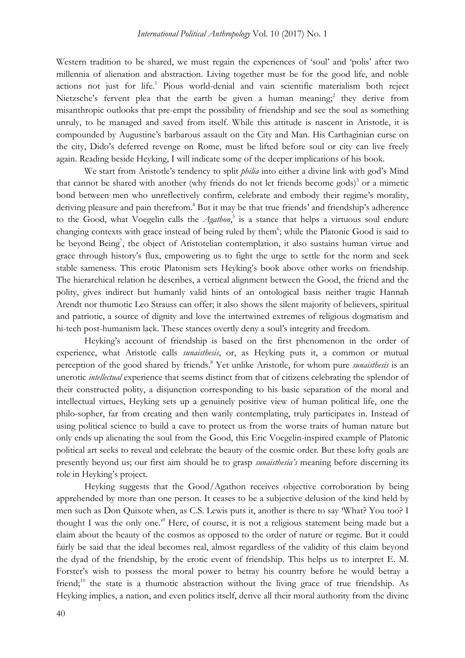Western tradition to be shared, we must regain the experiences of 'soul' and 'polis' after two millennia of alienation and abstraction. Living together must be for the good life, and noble actions not just for life.<sup>1</sup> Pious world-denial and vain scientific materialism both reject Nietzsche's fervent plea that the earth be given a human meaning;<sup>2</sup> they derive from misanthropic outlooks that pre-empt the possibility of friendship and see the soul as something unruly, to be managed and saved from itself. While this attitude is nascent in Aristotle, it is compounded by Augustine's barbarous assault on the City and Man. His Carthaginian curse on the city, Dido's deferred revenge on Rome, must be lifted before soul or city can live freely again. Reading beside Heyking, I will indicate some of the deeper implications of his book.

We start from Aristotle's tendency to split *philia* into either a divine link with god's Mind that cannot be shared with another (why friends do not let friends become gods)<sup>3</sup> or a mimetic bond between men who unreflectively confirm, celebrate and embody their regime's morality, deriving pleasure and pain therefrom.<sup>4</sup> But it may be that true friends' and friendship's adherence to the Good, what Voegelin calls the *Agathon*, <sup>5</sup> is a stance that helps a virtuous soul endure changing contexts with grace instead of being ruled by them<sup>6</sup>; while the Platonic Good is said to be beyond Being<sup>7</sup>, the object of Aristotelian contemplation, it also sustains human virtue and grace through history's flux, empowering us to fight the urge to settle for the norm and seek stable sameness. This erotic Platonism sets Heyking's book above other works on friendship. The hierarchical relation he describes, a vertical alignment between the Good, the friend and the polity, gives indirect but humanly valid hints of an ontological basis neither tragic Hannah Arendt nor thumotic Leo Strauss can offer; it also shows the silent majority of believers, spiritual and patriotic, a source of dignity and love the intertwined extremes of religious dogmatism and hi-tech post-humanism lack. These stances overtly deny a soul's integrity and freedom.

Heyking's account of friendship is based on the first phenomenon in the order of experience, what Aristotle calls *sunaisthesis*, or, as Heyking puts it, a common or mutual perception of the good shared by friends.8 Yet unlike Aristotle, for whom pure *sunaisthesis* is an unerotic *intellectual* experience that seems distinct from that of citizens celebrating the splendor of their constructed polity, a disjunction corresponding to his basic separation of the moral and intellectual virtues, Heyking sets up a genuinely positive view of human political life, one the philo-sopher, far from creating and then warily contemplating, truly participates in. Instead of using political science to build a cave to protect us from the worse traits of human nature but only ends up alienating the soul from the Good, this Eric Voegelin-inspired example of Platonic political art seeks to reveal and celebrate the beauty of the cosmic order. But these lofty goals are presently beyond us; our first aim should be to grasp *sunaisthesia's* meaning before discerning its role in Heyking's project.

Heyking suggests that the Good/Agathon receives objective corroboration by being apprehended by more than one person. It ceases to be a subjective delusion of the kind held by men such as Don Quixote when, as C.S. Lewis puts it, another is there to say 'What? You too? I thought I was the only one.' <sup>9</sup> Here, of course, it is not a religious statement being made but a claim about the beauty of the cosmos as opposed to the order of nature or regime. But it could fairly be said that the ideal becomes real, almost regardless of the validity of this claim beyond the dyad of the friendship, by the erotic event of friendship. This helps us to interpret E. M. Forster's wish to possess the moral power to betray his country before he would betray a friend;<sup>10</sup> the state is a thumotic abstraction without the living grace of true friendship. As Heyking implies, a nation, and even politics itself, derive all their moral authority from the divine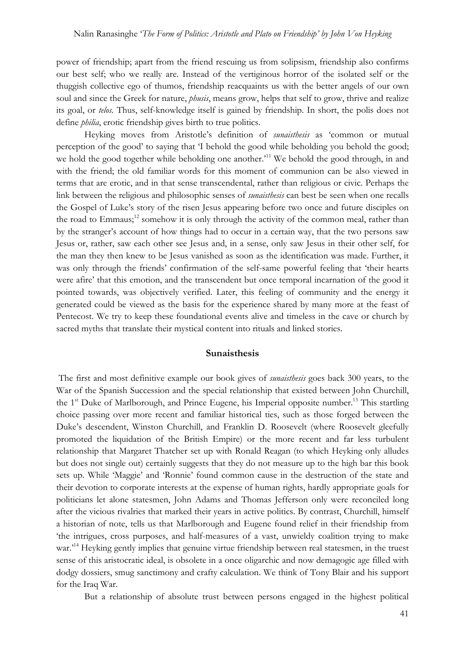power of friendship; apart from the friend rescuing us from solipsism, friendship also confirms our best self; who we really are. Instead of the vertiginous horror of the isolated self or the thuggish collective ego of thumos, friendship reacquaints us with the better angels of our own soul and since the Greek for nature, *phusis*, means grow, helps that self to grow, thrive and realize its goal, or *telos.* Thus, self-knowledge itself is gained by friendship. In short, the polis does not define *philia*, erotic friendship gives birth to true politics.

Heyking moves from Aristotle's definition of *sunaisthesis* as 'common or mutual perception of the good' to saying that 'I behold the good while beholding you behold the good; we hold the good together while beholding one another.<sup>11</sup> We behold the good through, in and with the friend; the old familiar words for this moment of communion can be also viewed in terms that are erotic, and in that sense transcendental, rather than religious or civic. Perhaps the link between the religious and philosophic senses of *sunaisthesis* can best be seen when one recalls the Gospel of Luke's story of the risen Jesus appearing before two once and future disciples on the road to Emmaus;<sup>12</sup> somehow it is only through the activity of the common meal, rather than by the stranger's account of how things had to occur in a certain way, that the two persons saw Jesus or, rather, saw each other see Jesus and, in a sense, only saw Jesus in their other self, for the man they then knew to be Jesus vanished as soon as the identification was made. Further, it was only through the friends' confirmation of the self-same powerful feeling that 'their hearts were afire' that this emotion, and the transcendent but once temporal incarnation of the good it pointed towards, was objectively verified. Later, this feeling of community and the energy it generated could be viewed as the basis for the experience shared by many more at the feast of Pentecost. We try to keep these foundational events alive and timeless in the cave or church by sacred myths that translate their mystical content into rituals and linked stories.

#### **Sunaisthesis**

The first and most definitive example our book gives of *sunaisthesis* goes back 300 years, to the War of the Spanish Succession and the special relationship that existed between John Churchill, the  $1<sup>st</sup>$  Duke of Marlborough, and Prince Eugene, his Imperial opposite number.<sup>13</sup> This startling choice passing over more recent and familiar historical ties, such as those forged between the Duke's descendent, Winston Churchill, and Franklin D. Roosevelt (where Roosevelt gleefully promoted the liquidation of the British Empire) or the more recent and far less turbulent relationship that Margaret Thatcher set up with Ronald Reagan (to which Heyking only alludes but does not single out) certainly suggests that they do not measure up to the high bar this book sets up. While 'Maggie' and 'Ronnie' found common cause in the destruction of the state and their devotion to corporate interests at the expense of human rights, hardly appropriate goals for politicians let alone statesmen, John Adams and Thomas Jefferson only were reconciled long after the vicious rivalries that marked their years in active politics. By contrast, Churchill, himself a historian of note, tells us that Marlborough and Eugene found relief in their friendship from 'the intrigues, cross purposes, and half-measures of a vast, unwieldy coalition trying to make war.<sup>14</sup> Heyking gently implies that genuine virtue friendship between real statesmen, in the truest sense of this aristocratic ideal, is obsolete in a once oligarchic and now demagogic age filled with dodgy dossiers, smug sanctimony and crafty calculation. We think of Tony Blair and his support for the Iraq War.

But a relationship of absolute trust between persons engaged in the highest political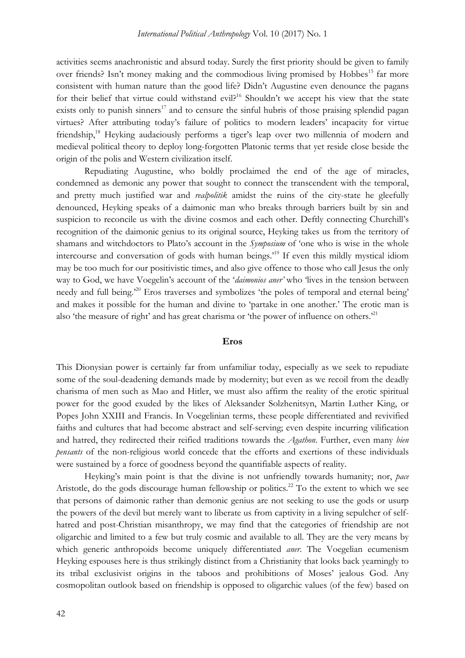activities seems anachronistic and absurd today. Surely the first priority should be given to family over friends? Isn't money making and the commodious living promised by Hobbes<sup>15</sup> far more consistent with human nature than the good life? Didn't Augustine even denounce the pagans for their belief that virtue could withstand evil?<sup>16</sup> Shouldn't we accept his view that the state exists only to punish sinners<sup>17</sup> and to censure the sinful hubris of those praising splendid pagan virtues? After attributing today's failure of politics to modern leaders' incapacity for virtue friendship,<sup>18</sup> Heyking audaciously performs a tiger's leap over two millennia of modern and medieval political theory to deploy long-forgotten Platonic terms that yet reside close beside the origin of the polis and Western civilization itself.

Repudiating Augustine, who boldly proclaimed the end of the age of miracles, condemned as demonic any power that sought to connect the transcendent with the temporal, and pretty much justified war and *realpolitik* amidst the ruins of the city-state he gleefully denounced, Heyking speaks of a daimonic man who breaks through barriers built by sin and suspicion to reconcile us with the divine cosmos and each other. Deftly connecting Churchill's recognition of the daimonic genius to its original source, Heyking takes us from the territory of shamans and witchdoctors to Plato's account in the *Symposium* of 'one who is wise in the whole intercourse and conversation of gods with human beings.' <sup>19</sup> If even this mildly mystical idiom may be too much for our positivistic times, and also give offence to those who call Jesus the only way to God, we have Voegelin's account of the '*daimonios aner'* who 'lives in the tension between needy and full being.<sup>20</sup> Eros traverses and symbolizes 'the poles of temporal and eternal being' and makes it possible for the human and divine to 'partake in one another.' The erotic man is also 'the measure of right' and has great charisma or 'the power of influence on others.<sup>21</sup>

#### **Eros**

This Dionysian power is certainly far from unfamiliar today, especially as we seek to repudiate some of the soul-deadening demands made by modernity; but even as we recoil from the deadly charisma of men such as Mao and Hitler, we must also affirm the reality of the erotic spiritual power for the good exuded by the likes of Aleksander Solzhenitsyn, Martin Luther King, or Popes John XXIII and Francis. In Voegelinian terms, these people differentiated and revivified faiths and cultures that had become abstract and self-serving; even despite incurring vilification and hatred, they redirected their reified traditions towards the *Agathon*. Further, even many *bien pensants* of the non-religious world concede that the efforts and exertions of these individuals were sustained by a force of goodness beyond the quantifiable aspects of reality.

Heyking's main point is that the divine is not unfriendly towards humanity; nor, *pace* Aristotle, do the gods discourage human fellowship or politics.<sup>22</sup> To the extent to which we see that persons of daimonic rather than demonic genius are not seeking to use the gods or usurp the powers of the devil but merely want to liberate us from captivity in a living sepulcher of selfhatred and post-Christian misanthropy, we may find that the categories of friendship are not oligarchic and limited to a few but truly cosmic and available to all. They are the very means by which generic anthropoids become uniquely differentiated *aner*. The Voegelian ecumenism Heyking espouses here is thus strikingly distinct from a Christianity that looks back yearningly to its tribal exclusivist origins in the taboos and prohibitions of Moses' jealous God. Any cosmopolitan outlook based on friendship is opposed to oligarchic values (of the few) based on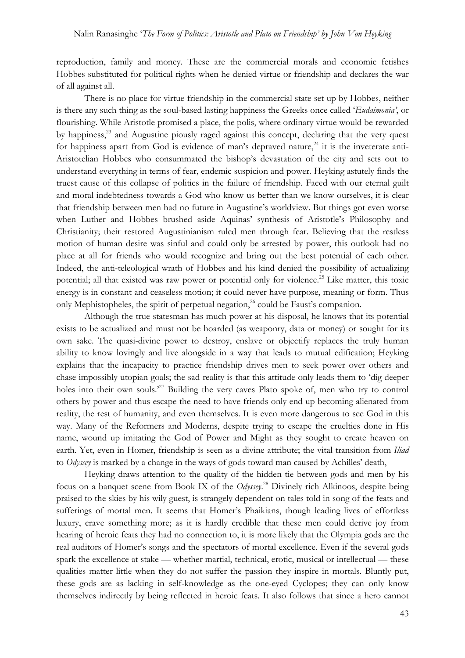reproduction, family and money. These are the commercial morals and economic fetishes Hobbes substituted for political rights when he denied virtue or friendship and declares the war of all against all.

There is no place for virtue friendship in the commercial state set up by Hobbes, neither is there any such thing as the soul-based lasting happiness the Greeks once called '*Eudaimonia'*, or flourishing. While Aristotle promised a place, the polis, where ordinary virtue would be rewarded by happiness,<sup>23</sup> and Augustine piously raged against this concept, declaring that the very quest for happiness apart from God is evidence of man's depraved nature,<sup>24</sup> it is the inveterate anti-Aristotelian Hobbes who consummated the bishop's devastation of the city and sets out to understand everything in terms of fear, endemic suspicion and power. Heyking astutely finds the truest cause of this collapse of politics in the failure of friendship. Faced with our eternal guilt and moral indebtedness towards a God who know us better than we know ourselves, it is clear that friendship between men had no future in Augustine's worldview. But things got even worse when Luther and Hobbes brushed aside Aquinas' synthesis of Aristotle's Philosophy and Christianity; their restored Augustinianism ruled men through fear. Believing that the restless motion of human desire was sinful and could only be arrested by power, this outlook had no place at all for friends who would recognize and bring out the best potential of each other. Indeed, the anti-teleological wrath of Hobbes and his kind denied the possibility of actualizing potential; all that existed was raw power or potential only for violence.<sup>25</sup> Like matter, this toxic energy is in constant and ceaseless motion; it could never have purpose, meaning or form. Thus only Mephistopheles, the spirit of perpetual negation,  $^{26}$  could be Faust's companion.

Although the true statesman has much power at his disposal, he knows that its potential exists to be actualized and must not be hoarded (as weaponry, data or money) or sought for its own sake. The quasi-divine power to destroy, enslave or objectify replaces the truly human ability to know lovingly and live alongside in a way that leads to mutual edification; Heyking explains that the incapacity to practice friendship drives men to seek power over others and chase impossibly utopian goals; the sad reality is that this attitude only leads them to 'dig deeper holes into their own souls.<sup>27</sup> Building the very caves Plato spoke of, men who try to control others by power and thus escape the need to have friends only end up becoming alienated from reality, the rest of humanity, and even themselves. It is even more dangerous to see God in this way. Many of the Reformers and Moderns, despite trying to escape the cruelties done in His name, wound up imitating the God of Power and Might as they sought to create heaven on earth. Yet, even in Homer, friendship is seen as a divine attribute; the vital transition from *Iliad* to *Odyssey* is marked by a change in the ways of gods toward man caused by Achilles' death,

Heyking draws attention to the quality of the hidden tie between gods and men by his focus on a banquet scene from Book IX of the *Odyssey*. <sup>28</sup> Divinely rich Alkinoos, despite being praised to the skies by his wily guest, is strangely dependent on tales told in song of the feats and sufferings of mortal men. It seems that Homer's Phaikians, though leading lives of effortless luxury, crave something more; as it is hardly credible that these men could derive joy from hearing of heroic feats they had no connection to, it is more likely that the Olympia gods are the real auditors of Homer's songs and the spectators of mortal excellence. Even if the several gods spark the excellence at stake — whether martial, technical, erotic, musical or intellectual — these qualities matter little when they do not suffer the passion they inspire in mortals. Bluntly put, these gods are as lacking in self-knowledge as the one-eyed Cyclopes; they can only know themselves indirectly by being reflected in heroic feats. It also follows that since a hero cannot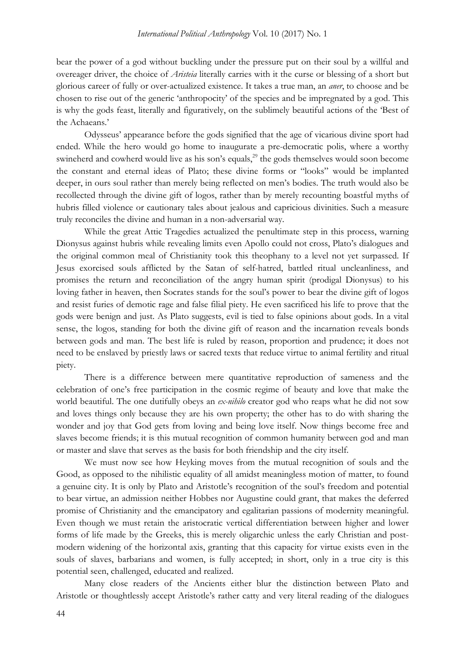bear the power of a god without buckling under the pressure put on their soul by a willful and overeager driver, the choice of *Aristeia* literally carries with it the curse or blessing of a short but glorious career of fully or over-actualized existence. It takes a true man, an *aner*, to choose and be chosen to rise out of the generic 'anthropocity' of the species and be impregnated by a god. This is why the gods feast, literally and figuratively, on the sublimely beautiful actions of the 'Best of the Achaeans.'

Odysseus' appearance before the gods signified that the age of vicarious divine sport had ended. While the hero would go home to inaugurate a pre-democratic polis, where a worthy swineherd and cowherd would live as his son's equals,<sup>29</sup> the gods themselves would soon become the constant and eternal ideas of Plato; these divine forms or "looks" would be implanted deeper, in ours soul rather than merely being reflected on men's bodies. The truth would also be recollected through the divine gift of logos, rather than by merely recounting boastful myths of hubris filled violence or cautionary tales about jealous and capricious divinities. Such a measure truly reconciles the divine and human in a non-adversarial way.

While the great Attic Tragedies actualized the penultimate step in this process, warning Dionysus against hubris while revealing limits even Apollo could not cross, Plato's dialogues and the original common meal of Christianity took this theophany to a level not yet surpassed. If Jesus exorcised souls afflicted by the Satan of self-hatred, battled ritual uncleanliness, and promises the return and reconciliation of the angry human spirit (prodigal Dionysus) to his loving father in heaven, then Socrates stands for the soul's power to bear the divine gift of logos and resist furies of demotic rage and false filial piety. He even sacrificed his life to prove that the gods were benign and just. As Plato suggests, evil is tied to false opinions about gods. In a vital sense, the logos, standing for both the divine gift of reason and the incarnation reveals bonds between gods and man. The best life is ruled by reason, proportion and prudence; it does not need to be enslaved by priestly laws or sacred texts that reduce virtue to animal fertility and ritual piety.

There is a difference between mere quantitative reproduction of sameness and the celebration of one's free participation in the cosmic regime of beauty and love that make the world beautiful. The one dutifully obeys an *ex-nihilo* creator god who reaps what he did not sow and loves things only because they are his own property; the other has to do with sharing the wonder and joy that God gets from loving and being love itself. Now things become free and slaves become friends; it is this mutual recognition of common humanity between god and man or master and slave that serves as the basis for both friendship and the city itself.

We must now see how Heyking moves from the mutual recognition of souls and the Good, as opposed to the nihilistic equality of all amidst meaningless motion of matter, to found a genuine city. It is only by Plato and Aristotle's recognition of the soul's freedom and potential to bear virtue, an admission neither Hobbes nor Augustine could grant, that makes the deferred promise of Christianity and the emancipatory and egalitarian passions of modernity meaningful. Even though we must retain the aristocratic vertical differentiation between higher and lower forms of life made by the Greeks, this is merely oligarchic unless the early Christian and postmodern widening of the horizontal axis, granting that this capacity for virtue exists even in the souls of slaves, barbarians and women, is fully accepted; in short, only in a true city is this potential seen, challenged, educated and realized.

Many close readers of the Ancients either blur the distinction between Plato and Aristotle or thoughtlessly accept Aristotle's rather catty and very literal reading of the dialogues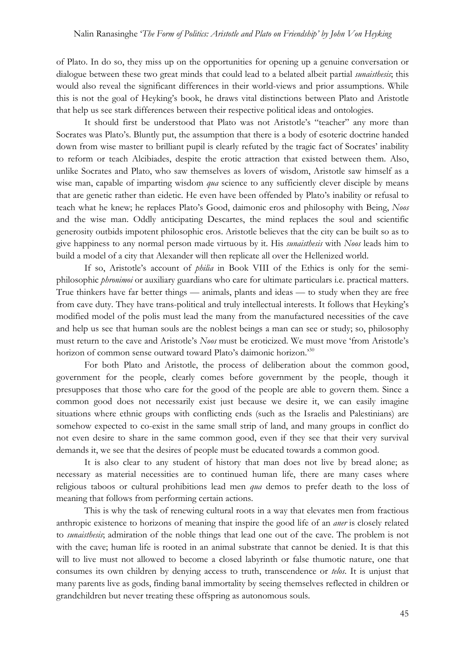of Plato. In do so, they miss up on the opportunities for opening up a genuine conversation or dialogue between these two great minds that could lead to a belated albeit partial *sunaisthesis*; this would also reveal the significant differences in their world-views and prior assumptions. While this is not the goal of Heyking's book, he draws vital distinctions between Plato and Aristotle that help us see stark differences between their respective political ideas and ontologies.

It should first be understood that Plato was not Aristotle's "teacher" any more than Socrates was Plato's. Bluntly put, the assumption that there is a body of esoteric doctrine handed down from wise master to brilliant pupil is clearly refuted by the tragic fact of Socrates' inability to reform or teach Alcibiades, despite the erotic attraction that existed between them. Also, unlike Socrates and Plato, who saw themselves as lovers of wisdom, Aristotle saw himself as a wise man, capable of imparting wisdom *qua* science to any sufficiently clever disciple by means that are genetic rather than eidetic. He even have been offended by Plato's inability or refusal to teach what he knew; he replaces Plato's Good, daimonic eros and philosophy with Being, *Noos* and the wise man. Oddly anticipating Descartes, the mind replaces the soul and scientific generosity outbids impotent philosophic eros. Aristotle believes that the city can be built so as to give happiness to any normal person made virtuous by it. His *sunaisthesis* with *Noos* leads him to build a model of a city that Alexander will then replicate all over the Hellenized world.

If so, Aristotle's account of *philia* in Book VIII of the Ethics is only for the semiphilosophic *phronimoi* or auxiliary guardians who care for ultimate particulars i.e. practical matters. True thinkers have far better things — animals, plants and ideas — to study when they are free from cave duty. They have trans-political and truly intellectual interests. It follows that Heyking's modified model of the polis must lead the many from the manufactured necessities of the cave and help us see that human souls are the noblest beings a man can see or study; so, philosophy must return to the cave and Aristotle's *Noos* must be eroticized. We must move 'from Aristotle's horizon of common sense outward toward Plato's daimonic horizon.<sup>30</sup>

For both Plato and Aristotle, the process of deliberation about the common good, government for the people, clearly comes before government by the people, though it presupposes that those who care for the good of the people are able to govern them. Since a common good does not necessarily exist just because we desire it, we can easily imagine situations where ethnic groups with conflicting ends (such as the Israelis and Palestinians) are somehow expected to co-exist in the same small strip of land, and many groups in conflict do not even desire to share in the same common good, even if they see that their very survival demands it, we see that the desires of people must be educated towards a common good.

It is also clear to any student of history that man does not live by bread alone; as necessary as material necessities are to continued human life, there are many cases where religious taboos or cultural prohibitions lead men *qua* demos to prefer death to the loss of meaning that follows from performing certain actions.

This is why the task of renewing cultural roots in a way that elevates men from fractious anthropic existence to horizons of meaning that inspire the good life of an *aner* is closely related to *sunaisthesis*; admiration of the noble things that lead one out of the cave. The problem is not with the cave; human life is rooted in an animal substrate that cannot be denied. It is that this will to live must not allowed to become a closed labyrinth or false thumotic nature, one that consumes its own children by denying access to truth, transcendence or *telos*. It is unjust that many parents live as gods, finding banal immortality by seeing themselves reflected in children or grandchildren but never treating these offspring as autonomous souls.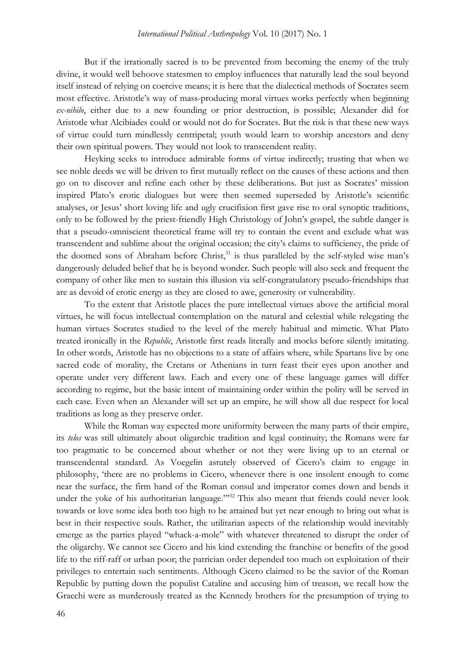But if the irrationally sacred is to be prevented from becoming the enemy of the truly divine, it would well behoove statesmen to employ influences that naturally lead the soul beyond itself instead of relying on coercive means; it is here that the dialectical methods of Socrates seem most effective. Aristotle's way of mass-producing moral virtues works perfectly when beginning *ex-nihilo*, either due to a new founding or prior destruction, is possible; Alexander did for Aristotle what Alcibiades could or would not do for Socrates. But the risk is that these new ways of virtue could turn mindlessly centripetal; youth would learn to worship ancestors and deny their own spiritual powers. They would not look to transcendent reality.

Heyking seeks to introduce admirable forms of virtue indirectly; trusting that when we see noble deeds we will be driven to first mutually reflect on the causes of these actions and then go on to discover and refine each other by these deliberations. But just as Socrates' mission inspired Plato's erotic dialogues but were then seemed superseded by Aristotle's scientific analyses, or Jesus' short loving life and ugly crucifixion first gave rise to oral synoptic traditions, only to be followed by the priest-friendly High Christology of John's gospel, the subtle danger is that a pseudo-omniscient theoretical frame will try to contain the event and exclude what was transcendent and sublime about the original occasion; the city's claims to sufficiency, the pride of the doomed sons of Abraham before Christ, $3<sup>1</sup>$  is thus paralleled by the self-styled wise man's dangerously deluded belief that he is beyond wonder. Such people will also seek and frequent the company of other like men to sustain this illusion via self-congratulatory pseudo-friendships that are as devoid of erotic energy as they are closed to awe, generosity or vulnerability.

To the extent that Aristotle places the pure intellectual virtues above the artificial moral virtues, he will focus intellectual contemplation on the natural and celestial while relegating the human virtues Socrates studied to the level of the merely habitual and mimetic. What Plato treated ironically in the *Republic*, Aristotle first reads literally and mocks before silently imitating. In other words, Aristotle has no objections to a state of affairs where, while Spartans live by one sacred code of morality, the Cretans or Athenians in turn feast their eyes upon another and operate under very different laws. Each and every one of these language games will differ according to regime, but the basic intent of maintaining order within the polity will be served in each case. Even when an Alexander will set up an empire, he will show all due respect for local traditions as long as they preserve order.

While the Roman way expected more uniformity between the many parts of their empire, its *telos* was still ultimately about oligarchic tradition and legal continuity; the Romans were far too pragmatic to be concerned about whether or not they were living up to an eternal or transcendental standard. As Voegelin astutely observed of Cicero's claim to engage in philosophy, 'there are no problems in Cicero, whenever there is one insolent enough to come near the surface, the firm hand of the Roman consul and imperator comes down and bends it under the yoke of his authoritarian language."<sup>32</sup> This also meant that friends could never look towards or love some idea both too high to be attained but yet near enough to bring out what is best in their respective souls. Rather, the utilitarian aspects of the relationship would inevitably emerge as the parties played "whack-a-mole" with whatever threatened to disrupt the order of the oligarchy. We cannot see Cicero and his kind extending the franchise or benefits of the good life to the riff-raff or urban poor; the patrician order depended too much on exploitation of their privileges to entertain such sentiments. Although Cicero claimed to be the savior of the Roman Republic by putting down the populist Cataline and accusing him of treason, we recall how the Gracchi were as murderously treated as the Kennedy brothers for the presumption of trying to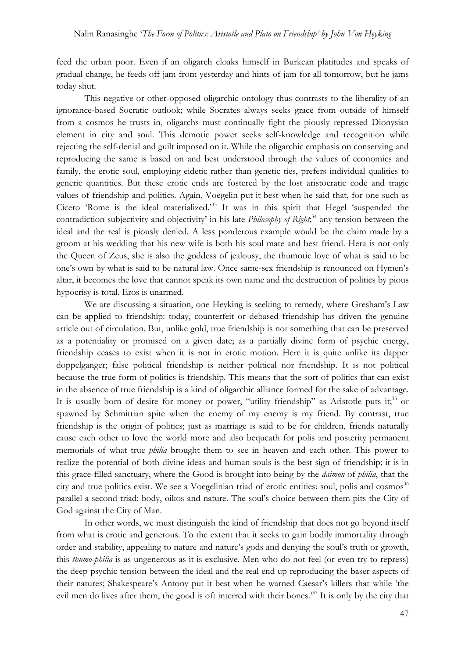feed the urban poor. Even if an oligarch cloaks himself in Burkean platitudes and speaks of gradual change, he feeds off jam from yesterday and hints of jam for all tomorrow, but he jams today shut.

This negative or other-opposed oligarchic ontology thus contrasts to the liberality of an ignorance-based Socratic outlook; while Socrates always seeks grace from outside of himself from a cosmos he trusts in, oligarchs must continually fight the piously repressed Dionysian element in city and soul. This demotic power seeks self-knowledge and recognition while rejecting the self-denial and guilt imposed on it. While the oligarchic emphasis on conserving and reproducing the same is based on and best understood through the values of economics and family, the erotic soul, employing eidetic rather than genetic ties, prefers individual qualities to generic quantities. But these erotic ends are fostered by the lost aristocratic code and tragic values of friendship and politics. Again, Voegelin put it best when he said that, for one such as Cicero 'Rome is the ideal materialized.' <sup>33</sup> It was in this spirit that Hegel 'suspended the contradiction subjectivity and objectivity' in his late *Philosophy of Right*; <sup>34</sup> any tension between the ideal and the real is piously denied. A less ponderous example would be the claim made by a groom at his wedding that his new wife is both his soul mate and best friend. Hera is not only the Queen of Zeus, she is also the goddess of jealousy, the thumotic love of what is said to be one's own by what is said to be natural law. Once same-sex friendship is renounced on Hymen's altar, it becomes the love that cannot speak its own name and the destruction of politics by pious hypocrisy is total. Eros is unarmed.

We are discussing a situation, one Heyking is seeking to remedy, where Gresham's Law can be applied to friendship: today, counterfeit or debased friendship has driven the genuine article out of circulation. But, unlike gold, true friendship is not something that can be preserved as a potentiality or promised on a given date; as a partially divine form of psychic energy, friendship ceases to exist when it is not in erotic motion. Here it is quite unlike its dapper doppelganger; false political friendship is neither political nor friendship. It is not political because the true form of politics is friendship. This means that the sort of politics that can exist in the absence of true friendship is a kind of oligarchic alliance formed for the sake of advantage. It is usually born of desire for money or power, "utility friendship" as Aristotle puts it;<sup>35</sup> or spawned by Schmittian spite when the enemy of my enemy is my friend. By contrast, true friendship is the origin of politics; just as marriage is said to be for children, friends naturally cause each other to love the world more and also bequeath for polis and posterity permanent memorials of what true *philia* brought them to see in heaven and each other. This power to realize the potential of both divine ideas and human souls is the best sign of friendship; it is in this grace-filled sanctuary, where the Good is brought into being by the *daimon* of *philia*, that the city and true politics exist. We see a Voegelinian triad of erotic entities: soul, polis and cosmos<sup>36</sup> parallel a second triad: body, oikos and nature. The soul's choice between them pits the City of God against the City of Man.

In other words, we must distinguish the kind of friendship that does not go beyond itself from what is erotic and generous. To the extent that it seeks to gain bodily immortality through order and stability, appealing to nature and nature's gods and denying the soul's truth or growth, this *thumo*-*philia* is as ungenerous as it is exclusive. Men who do not feel (or even try to repress) the deep psychic tension between the ideal and the real end up reproducing the baser aspects of their natures; Shakespeare's Antony put it best when he warned Caesar's killers that while 'the evil men do lives after them, the good is oft interred with their bones.<sup>37</sup> It is only by the city that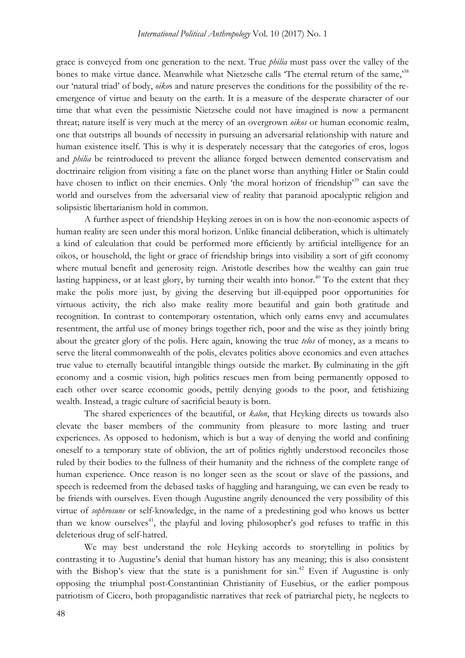grace is conveyed from one generation to the next. True *philia* must pass over the valley of the bones to make virtue dance. Meanwhile what Nietzsche calls 'The eternal return of the same,'<sup>38</sup> our 'natural triad' of body, *oiko*s and nature preserves the conditions for the possibility of the reemergence of virtue and beauty on the earth. It is a measure of the desperate character of our time that what even the pessimistic Nietzsche could not have imagined is now a permanent threat; nature itself is very much at the mercy of an overgrown *oikos* or human economic realm, one that outstrips all bounds of necessity in pursuing an adversarial relationship with nature and human existence itself. This is why it is desperately necessary that the categories of eros, logos and *philia* be reintroduced to prevent the alliance forged between demented conservatism and doctrinaire religion from visiting a fate on the planet worse than anything Hitler or Stalin could have chosen to inflict on their enemies. Only 'the moral horizon of friendship'<sup>39</sup> can save the world and ourselves from the adversarial view of reality that paranoid apocalyptic religion and solipsistic libertarianism hold in common.

A further aspect of friendship Heyking zeroes in on is how the non-economic aspects of human reality are seen under this moral horizon. Unlike financial deliberation, which is ultimately a kind of calculation that could be performed more efficiently by artificial intelligence for an oikos, or household, the light or grace of friendship brings into visibility a sort of gift economy where mutual benefit and generosity reign. Aristotle describes how the wealthy can gain true lasting happiness, or at least glory, by turning their wealth into honor.<sup>40</sup> To the extent that they make the polis more just, by giving the deserving but ill-equipped poor opportunities for virtuous activity, the rich also make reality more beautiful and gain both gratitude and recognition. In contrast to contemporary ostentation, which only earns envy and accumulates resentment, the artful use of money brings together rich, poor and the wise as they jointly bring about the greater glory of the polis. Here again, knowing the true *telos* of money, as a means to serve the literal commonwealth of the polis, elevates politics above economics and even attaches true value to eternally beautiful intangible things outside the market. By culminating in the gift economy and a cosmic vision, high politics rescues men from being permanently opposed to each other over scarce economic goods, pettily denying goods to the poor, and fetishizing wealth. Instead, a tragic culture of sacrificial beauty is born.

The shared experiences of the beautiful, or *kalon*, that Heyking directs us towards also elevate the baser members of the community from pleasure to more lasting and truer experiences. As opposed to hedonism, which is but a way of denying the world and confining oneself to a temporary state of oblivion, the art of politics rightly understood reconciles those ruled by their bodies to the fullness of their humanity and the richness of the complete range of human experience. Once reason is no longer seen as the scout or slave of the passions, and speech is redeemed from the debased tasks of haggling and haranguing, we can even be ready to be friends with ourselves. Even though Augustine angrily denounced the very possibility of this virtue of *sophrosune* or self-knowledge, in the name of a predestining god who knows us better than we know ourselves<sup>41</sup>, the playful and loving philosopher's god refuses to traffic in this deleterious drug of self-hatred.

We may best understand the role Heyking accords to storytelling in politics by contrasting it to Augustine's denial that human history has any meaning; this is also consistent with the Bishop's view that the state is a punishment for  $\sin^{42}$  Even if Augustine is only opposing the triumphal post-Constantinian Christianity of Eusebius, or the earlier pompous patriotism of Cicero, both propagandistic narratives that reek of patriarchal piety, he neglects to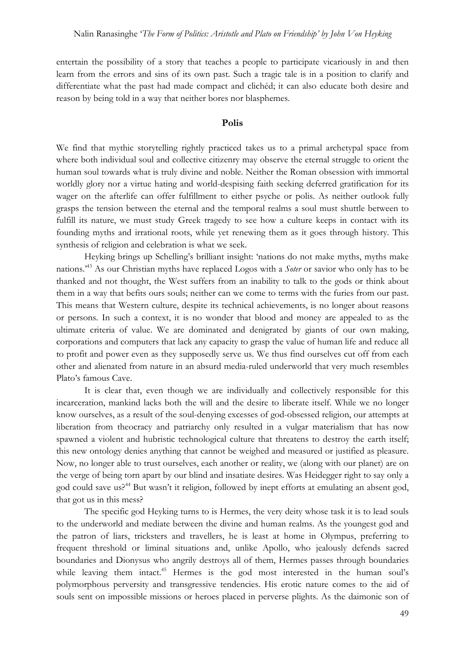entertain the possibility of a story that teaches a people to participate vicariously in and then learn from the errors and sins of its own past. Such a tragic tale is in a position to clarify and differentiate what the past had made compact and clichéd; it can also educate both desire and reason by being told in a way that neither bores nor blasphemes.

#### **Polis**

We find that mythic storytelling rightly practiced takes us to a primal archetypal space from where both individual soul and collective citizenry may observe the eternal struggle to orient the human soul towards what is truly divine and noble. Neither the Roman obsession with immortal worldly glory nor a virtue hating and world-despising faith seeking deferred gratification for its wager on the afterlife can offer fulfillment to either psyche or polis. As neither outlook fully grasps the tension between the eternal and the temporal realms a soul must shuttle between to fulfill its nature, we must study Greek tragedy to see how a culture keeps in contact with its founding myths and irrational roots, while yet renewing them as it goes through history. This synthesis of religion and celebration is what we seek.

Heyking brings up Schelling's brilliant insight: 'nations do not make myths, myths make nations.' <sup>43</sup> As our Christian myths have replaced Logos with a *Soter* or savior who only has to be thanked and not thought, the West suffers from an inability to talk to the gods or think about them in a way that befits ours souls; neither can we come to terms with the furies from our past. This means that Western culture, despite its technical achievements, is no longer about reasons or persons. In such a context, it is no wonder that blood and money are appealed to as the ultimate criteria of value. We are dominated and denigrated by giants of our own making, corporations and computers that lack any capacity to grasp the value of human life and reduce all to profit and power even as they supposedly serve us. We thus find ourselves cut off from each other and alienated from nature in an absurd media-ruled underworld that very much resembles Plato's famous Cave.

It is clear that, even though we are individually and collectively responsible for this incarceration, mankind lacks both the will and the desire to liberate itself. While we no longer know ourselves, as a result of the soul-denying excesses of god-obsessed religion, our attempts at liberation from theocracy and patriarchy only resulted in a vulgar materialism that has now spawned a violent and hubristic technological culture that threatens to destroy the earth itself; this new ontology denies anything that cannot be weighed and measured or justified as pleasure. Now, no longer able to trust ourselves, each another or reality, we (along with our planet) are on the verge of being torn apart by our blind and insatiate desires. Was Heidegger right to say only a god could save us?<sup>44</sup> But wasn't it religion, followed by inept efforts at emulating an absent god, that got us in this mess?

The specific god Heyking turns to is Hermes, the very deity whose task it is to lead souls to the underworld and mediate between the divine and human realms. As the youngest god and the patron of liars, tricksters and travellers, he is least at home in Olympus, preferring to frequent threshold or liminal situations and, unlike Apollo, who jealously defends sacred boundaries and Dionysus who angrily destroys all of them, Hermes passes through boundaries while leaving them intact.<sup>45</sup> Hermes is the god most interested in the human soul's polymorphous perversity and transgressive tendencies. His erotic nature comes to the aid of souls sent on impossible missions or heroes placed in perverse plights. As the daimonic son of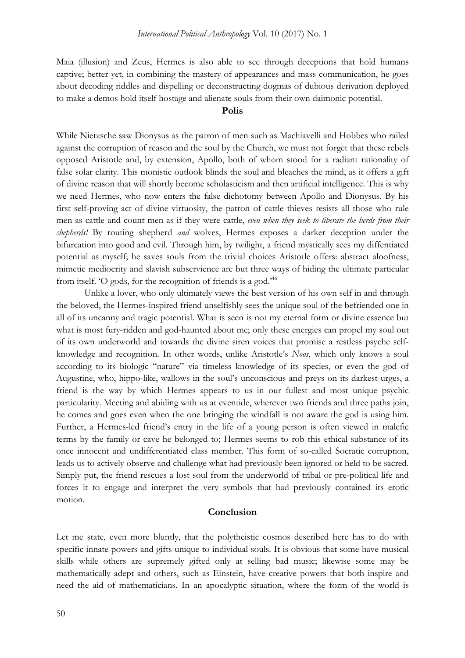Maia (illusion) and Zeus, Hermes is also able to see through deceptions that hold humans captive; better yet, in combining the mastery of appearances and mass communication, he goes about decoding riddles and dispelling or deconstructing dogmas of dubious derivation deployed to make a demos hold itself hostage and alienate souls from their own daimonic potential.

# **Polis**

While Nietzsche saw Dionysus as the patron of men such as Machiavelli and Hobbes who railed against the corruption of reason and the soul by the Church, we must not forget that these rebels opposed Aristotle and, by extension, Apollo, both of whom stood for a radiant rationality of false solar clarity. This monistic outlook blinds the soul and bleaches the mind, as it offers a gift of divine reason that will shortly become scholasticism and then artificial intelligence. This is why we need Hermes, who now enters the false dichotomy between Apollo and Dionysus. By his first self-proving act of divine virtuosity, the patron of cattle thieves resists all those who rule men as cattle and count men as if they were cattle, *even when they seek to liberate the herds from their shepherds!* By routing shepherd *and* wolves, Hermes exposes a darker deception under the bifurcation into good and evil. Through him, by twilight, a friend mystically sees my diffentiated potential as myself; he saves souls from the trivial choices Aristotle offers: abstract aloofness, mimetic mediocrity and slavish subservience are but three ways of hiding the ultimate particular from itself. 'O gods, for the recognition of friends is a god.'<sup>46</sup>

Unlike a lover, who only ultimately views the best version of his own self in and through the beloved, the Hermes-inspired friend unselfishly sees the unique soul of the befriended one in all of its uncanny and tragic potential. What is seen is not my eternal form or divine essence but what is most fury-ridden and god-haunted about me; only these energies can propel my soul out of its own underworld and towards the divine siren voices that promise a restless psyche selfknowledge and recognition. In other words, unlike Aristotle's *Noos*, which only knows a soul according to its biologic "nature" via timeless knowledge of its species, or even the god of Augustine, who, hippo-like, wallows in the soul's unconscious and preys on its darkest urges, a friend is the way by which Hermes appears to us in our fullest and most unique psychic particularity. Meeting and abiding with us at eventide, wherever two friends and three paths join, he comes and goes even when the one bringing the windfall is not aware the god is using him. Further, a Hermes-led friend's entry in the life of a young person is often viewed in malefic terms by the family or cave he belonged to; Hermes seems to rob this ethical substance of its once innocent and undifferentiated class member. This form of so-called Socratic corruption, leads us to actively observe and challenge what had previously been ignored or held to be sacred. Simply put, the friend rescues a lost soul from the underworld of tribal or pre-political life and forces it to engage and interpret the very symbols that had previously contained its erotic motion.

# **Conclusion**

Let me state, even more bluntly, that the polytheistic cosmos described here has to do with specific innate powers and gifts unique to individual souls. It is obvious that some have musical skills while others are supremely gifted only at selling bad music; likewise some may be mathematically adept and others, such as Einstein, have creative powers that both inspire and need the aid of mathematicians. In an apocalyptic situation, where the form of the world is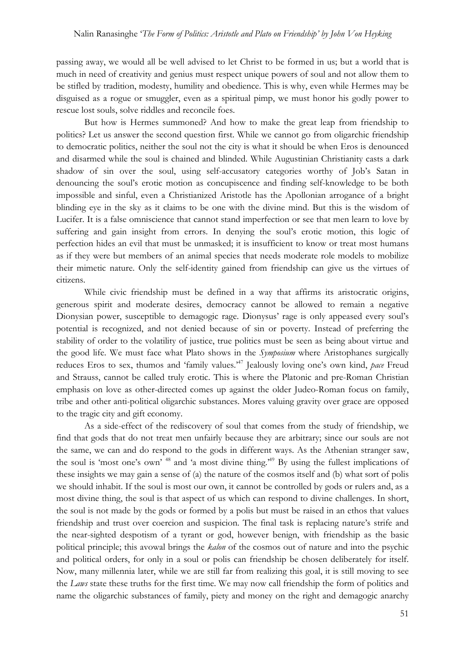passing away, we would all be well advised to let Christ to be formed in us; but a world that is much in need of creativity and genius must respect unique powers of soul and not allow them to be stifled by tradition, modesty, humility and obedience. This is why, even while Hermes may be disguised as a rogue or smuggler, even as a spiritual pimp, we must honor his godly power to rescue lost souls, solve riddles and reconcile foes.

But how is Hermes summoned? And how to make the great leap from friendship to politics? Let us answer the second question first. While we cannot go from oligarchic friendship to democratic politics, neither the soul not the city is what it should be when Eros is denounced and disarmed while the soul is chained and blinded. While Augustinian Christianity casts a dark shadow of sin over the soul, using self-accusatory categories worthy of Job's Satan in denouncing the soul's erotic motion as concupiscence and finding self-knowledge to be both impossible and sinful, even a Christianized Aristotle has the Apollonian arrogance of a bright blinding eye in the sky as it claims to be one with the divine mind. But this is the wisdom of Lucifer. It is a false omniscience that cannot stand imperfection or see that men learn to love by suffering and gain insight from errors. In denying the soul's erotic motion, this logic of perfection hides an evil that must be unmasked; it is insufficient to know or treat most humans as if they were but members of an animal species that needs moderate role models to mobilize their mimetic nature. Only the self-identity gained from friendship can give us the virtues of citizens.

While civic friendship must be defined in a way that affirms its aristocratic origins, generous spirit and moderate desires, democracy cannot be allowed to remain a negative Dionysian power, susceptible to demagogic rage. Dionysus' rage is only appeased every soul's potential is recognized, and not denied because of sin or poverty. Instead of preferring the stability of order to the volatility of justice, true politics must be seen as being about virtue and the good life. We must face what Plato shows in the *Symposium* where Aristophanes surgically reduces Eros to sex, thumos and 'family values.' <sup>47</sup> Jealously loving one's own kind, *pace* Freud and Strauss, cannot be called truly erotic. This is where the Platonic and pre-Roman Christian emphasis on love as other-directed comes up against the older Judeo-Roman focus on family, tribe and other anti-political oligarchic substances. Mores valuing gravity over grace are opposed to the tragic city and gift economy.

As a side-effect of the rediscovery of soul that comes from the study of friendship, we find that gods that do not treat men unfairly because they are arbitrary; since our souls are not the same, we can and do respond to the gods in different ways. As the Athenian stranger saw, the soul is 'most one's own' <sup>48</sup> and 'a most divine thing.' <sup>49</sup> By using the fullest implications of these insights we may gain a sense of (a) the nature of the cosmos itself and (b) what sort of polis we should inhabit. If the soul is most our own, it cannot be controlled by gods or rulers and, as a most divine thing, the soul is that aspect of us which can respond to divine challenges. In short, the soul is not made by the gods or formed by a polis but must be raised in an ethos that values friendship and trust over coercion and suspicion. The final task is replacing nature's strife and the near-sighted despotism of a tyrant or god, however benign, with friendship as the basic political principle; this avowal brings the *kalon* of the cosmos out of nature and into the psychic and political orders, for only in a soul or polis can friendship be chosen deliberately for itself. Now, many millennia later, while we are still far from realizing this goal, it is still moving to see the *Laws* state these truths for the first time. We may now call friendship the form of politics and name the oligarchic substances of family, piety and money on the right and demagogic anarchy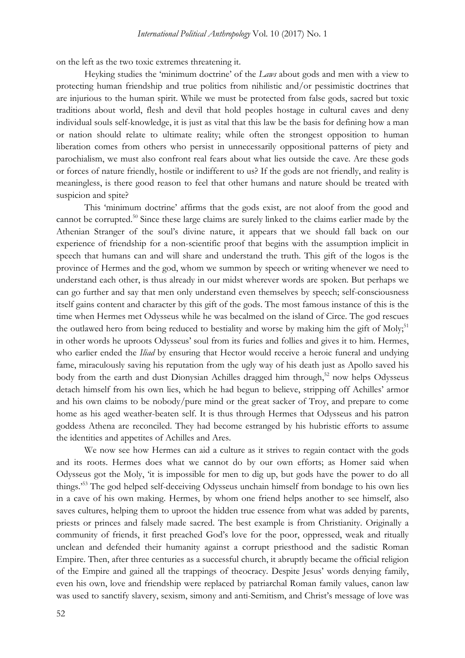on the left as the two toxic extremes threatening it.

Heyking studies the 'minimum doctrine' of the *Laws* about gods and men with a view to protecting human friendship and true politics from nihilistic and/or pessimistic doctrines that are injurious to the human spirit. While we must be protected from false gods, sacred but toxic traditions about world, flesh and devil that hold peoples hostage in cultural caves and deny individual souls self-knowledge, it is just as vital that this law be the basis for defining how a man or nation should relate to ultimate reality; while often the strongest opposition to human liberation comes from others who persist in unnecessarily oppositional patterns of piety and parochialism, we must also confront real fears about what lies outside the cave. Are these gods or forces of nature friendly, hostile or indifferent to us? If the gods are not friendly, and reality is meaningless, is there good reason to feel that other humans and nature should be treated with suspicion and spite?

This 'minimum doctrine' affirms that the gods exist, are not aloof from the good and cannot be corrupted.<sup>50</sup> Since these large claims are surely linked to the claims earlier made by the Athenian Stranger of the soul's divine nature, it appears that we should fall back on our experience of friendship for a non-scientific proof that begins with the assumption implicit in speech that humans can and will share and understand the truth. This gift of the logos is the province of Hermes and the god, whom we summon by speech or writing whenever we need to understand each other, is thus already in our midst wherever words are spoken. But perhaps we can go further and say that men only understand even themselves by speech; self-consciousness itself gains content and character by this gift of the gods. The most famous instance of this is the time when Hermes met Odysseus while he was becalmed on the island of Circe. The god rescues the outlawed hero from being reduced to bestiality and worse by making him the gift of Moly;<sup>51</sup> in other words he uproots Odysseus' soul from its furies and follies and gives it to him. Hermes, who earlier ended the *Iliad* by ensuring that Hector would receive a heroic funeral and undying fame, miraculously saving his reputation from the ugly way of his death just as Apollo saved his body from the earth and dust Dionysian Achilles dragged him through, <sup>52</sup> now helps Odysseus detach himself from his own lies, which he had begun to believe, stripping off Achilles' armor and his own claims to be nobody/pure mind or the great sacker of Troy, and prepare to come home as his aged weather-beaten self. It is thus through Hermes that Odysseus and his patron goddess Athena are reconciled. They had become estranged by his hubristic efforts to assume the identities and appetites of Achilles and Ares.

We now see how Hermes can aid a culture as it strives to regain contact with the gods and its roots. Hermes does what we cannot do by our own efforts; as Homer said when Odysseus got the Moly, 'it is impossible for men to dig up, but gods have the power to do all things.' <sup>53</sup> The god helped self-deceiving Odysseus unchain himself from bondage to his own lies in a cave of his own making. Hermes, by whom one friend helps another to see himself, also saves cultures, helping them to uproot the hidden true essence from what was added by parents, priests or princes and falsely made sacred. The best example is from Christianity. Originally a community of friends, it first preached God's love for the poor, oppressed, weak and ritually unclean and defended their humanity against a corrupt priesthood and the sadistic Roman Empire. Then, after three centuries as a successful church, it abruptly became the official religion of the Empire and gained all the trappings of theocracy. Despite Jesus' words denying family, even his own, love and friendship were replaced by patriarchal Roman family values, canon law was used to sanctify slavery, sexism, simony and anti-Semitism, and Christ's message of love was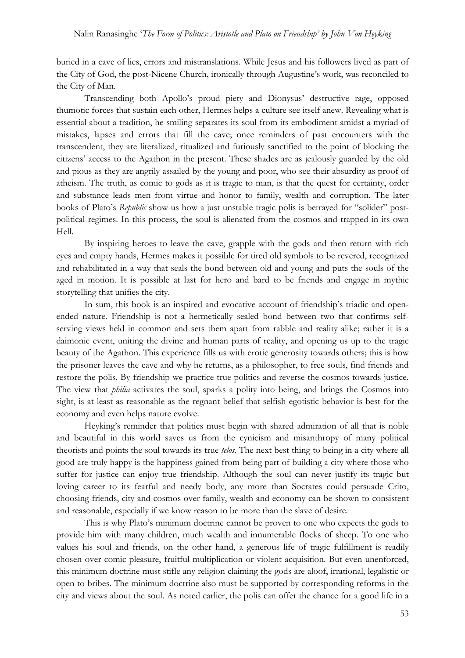buried in a cave of lies, errors and mistranslations. While Jesus and his followers lived as part of the City of God, the post-Nicene Church, ironically through Augustine's work, was reconciled to the City of Man.

Transcending both Apollo's proud piety and Dionysus' destructive rage, opposed thumotic forces that sustain each other, Hermes helps a culture see itself anew. Revealing what is essential about a tradition, he smiling separates its soul from its embodiment amidst a myriad of mistakes, lapses and errors that fill the cave; once reminders of past encounters with the transcendent, they are literalized, ritualized and furiously sanctified to the point of blocking the citizens' access to the Agathon in the present. These shades are as jealously guarded by the old and pious as they are angrily assailed by the young and poor, who see their absurdity as proof of atheism. The truth, as comic to gods as it is tragic to man, is that the quest for certainty, order and substance leads men from virtue and honor to family, wealth and corruption. The later books of Plato's *Republic* show us how a just unstable tragic polis is betrayed for "solider" postpolitical regimes. In this process, the soul is alienated from the cosmos and trapped in its own Hell.

By inspiring heroes to leave the cave, grapple with the gods and then return with rich eyes and empty hands, Hermes makes it possible for tired old symbols to be revered, recognized and rehabilitated in a way that seals the bond between old and young and puts the souls of the aged in motion. It is possible at last for hero and bard to be friends and engage in mythic storytelling that unifies the city.

In sum, this book is an inspired and evocative account of friendship's triadic and openended nature. Friendship is not a hermetically sealed bond between two that confirms selfserving views held in common and sets them apart from rabble and reality alike; rather it is a daimonic event, uniting the divine and human parts of reality, and opening us up to the tragic beauty of the Agathon. This experience fills us with erotic generosity towards others; this is how the prisoner leaves the cave and why he returns, as a philosopher, to free souls, find friends and restore the polis. By friendship we practice true politics and reverse the cosmos towards justice. The view that *philia* activates the soul, sparks a polity into being, and brings the Cosmos into sight, is at least as reasonable as the regnant belief that selfish egotistic behavior is best for the economy and even helps nature evolve.

Heyking's reminder that politics must begin with shared admiration of all that is noble and beautiful in this world saves us from the cynicism and misanthropy of many political theorists and points the soul towards its true *telos*. The next best thing to being in a city where all good are truly happy is the happiness gained from being part of building a city where those who suffer for justice can enjoy true friendship. Although the soul can never justify its tragic but loving career to its fearful and needy body, any more than Socrates could persuade Crito, choosing friends, city and cosmos over family, wealth and economy can be shown to consistent and reasonable, especially if we know reason to be more than the slave of desire.

This is why Plato's minimum doctrine cannot be proven to one who expects the gods to provide him with many children, much wealth and innumerable flocks of sheep. To one who values his soul and friends, on the other hand, a generous life of tragic fulfillment is readily chosen over comic pleasure, fruitful multiplication or violent acquisition. But even unenforced, this minimum doctrine must stifle any religion claiming the gods are aloof, irrational, legalistic or open to bribes. The minimum doctrine also must be supported by corresponding reforms in the city and views about the soul. As noted earlier, the polis can offer the chance for a good life in a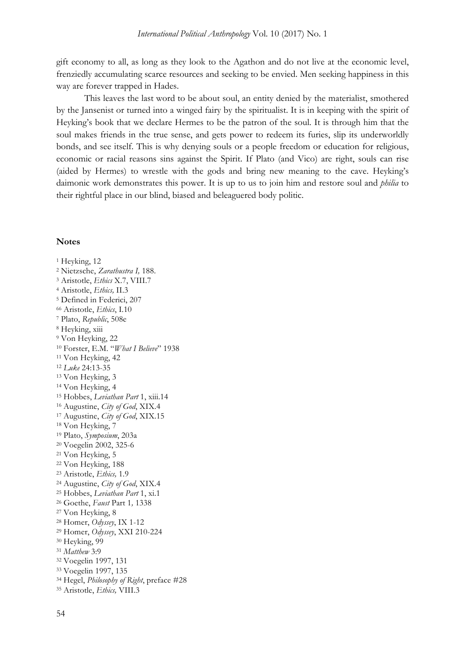gift economy to all, as long as they look to the Agathon and do not live at the economic level, frenziedly accumulating scarce resources and seeking to be envied. Men seeking happiness in this way are forever trapped in Hades.

This leaves the last word to be about soul, an entity denied by the materialist, smothered by the Jansenist or turned into a winged fairy by the spiritualist. It is in keeping with the spirit of Heyking's book that we declare Hermes to be the patron of the soul. It is through him that the soul makes friends in the true sense, and gets power to redeem its furies, slip its underworldly bonds, and see itself. This is why denying souls or a people freedom or education for religious, economic or racial reasons sins against the Spirit. If Plato (and Vico) are right, souls can rise (aided by Hermes) to wrestle with the gods and bring new meaning to the cave. Heyking's daimonic work demonstrates this power. It is up to us to join him and restore soul and *philia* to their rightful place in our blind, biased and beleaguered body politic.

#### **Notes**

<sup>1</sup> Heyking, 12 Nietzsche, *Zarathustra I,* 188. Aristotle, *Ethics* X.7, VIII.7 Aristotle, *Ethics,* II.3 Defined in Federici, 207 Aristotle, *Ethics*, I.10 Plato, *Republic*, 508e <sup>8</sup> Heyking, xiii Von Heyking, 22 Forster, E.M. "*What I Believe*" 1938 Von Heyking, 42 *Luke* 24:13-35 Von Heyking, 3 Von Heyking, 4 Hobbes, *Leviathan Part* 1, xiii.14 Augustine, *City of God*, XIX.4 Augustine, *City of God*, XIX.15 Von Heyking, 7 Plato, *Symposium*, 203a Voegelin 2002, 325-6 Von Heyking, 5 Von Heyking, 188 Aristotle, *Ethics,* 1.9 Augustine, *City of God*, XIX.4 Hobbes, *Leviathan Part* 1, xi.1 Goethe, *Faust* Part 1*,* 1338 Von Heyking, 8 Homer, *Odyssey*, IX 1-12 Homer, *Odyssey*, XXI 210-224 Heyking, 99 *Matthew* 3:9 Voegelin 1997, 131 Voegelin 1997, 135 Hegel, *Philosophy of Right*, preface #28 Aristotle, *Ethics,* VIII.3